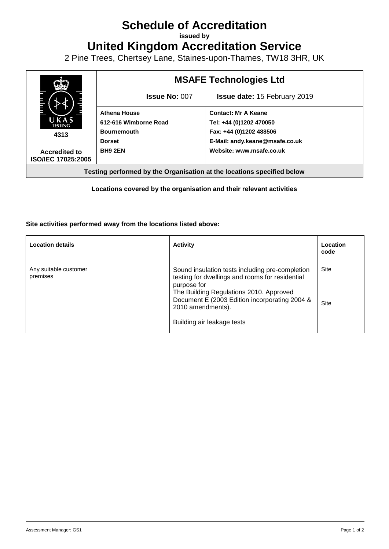# **Schedule of Accreditation**

**issued by**

**United Kingdom Accreditation Service**

2 Pine Trees, Chertsey Lane, Staines-upon-Thames, TW18 3HR, UK



**Locations covered by the organisation and their relevant activities**

#### **Site activities performed away from the locations listed above:**

| <b>Location details</b>           | <b>Activity</b>                                                                                                                                                                                                                                                  | Location<br>code |
|-----------------------------------|------------------------------------------------------------------------------------------------------------------------------------------------------------------------------------------------------------------------------------------------------------------|------------------|
| Any suitable customer<br>premises | Sound insulation tests including pre-completion<br>testing for dwellings and rooms for residential<br>purpose for<br>The Building Regulations 2010. Approved<br>Document E (2003 Edition incorporating 2004 &<br>2010 amendments).<br>Building air leakage tests | Site<br>Site     |